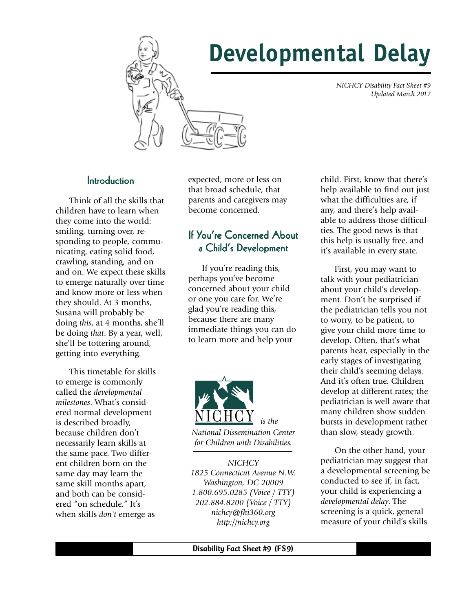



#### *NICHCY Disability Fact Sheet #9 Updated March 2012*

#### **Introduction**

Think of all the skills that children have to learn when they come into the world: smiling, turning over, responding to people, communicating, eating solid food, crawling, standing, and on and on. We expect these skills to emerge naturally over time and know more or less when they should. At 3 months, Susana will probably be doing *this*, at 4 months, she'll be doing *that*. By a year, well, she'll be tottering around, getting into everything.

This timetable for skills to emerge is commonly called the *developmental milestones*. What's considered normal development is described broadly, because children don't necessarily learn skills at the same pace. Two different children born on the same day may learn the same skill months apart, and both can be considered "on schedule." It's when skills *don't* emerge as

expected, more or less on that broad schedule, that parents and caregivers may become concerned.

### If You're Concerned About a Child's Development

If you're reading this, perhaps you've become concerned about your child or one you care for. We're glad you're reading this, because there are many immediate things you can do to learn more and help your



*NICHCY 1825 Connecticut Avenue N.W. Washington, DC 20009 1.800.695.0285 (Voice / TTY) 202.884.8200 (Voice / TTY) nichcy@fhi360.org http://nichcy.org*

child. First, know that there's help available to find out just what the difficulties are, if any, and there's help available to address those difficulties. The good news is that this help is usually free, and it's available in every state.

First, you may want to talk with your pediatrician about your child's development. Don't be surprised if the pediatrician tells you not to worry, to be patient, to give your child more time to develop. Often, that's what parents hear, especially in the early stages of investigating their child's seeming delays. And it's often true. Children develop at different rates; the pediatrician is well aware that many children show sudden bursts in development rather than slow, steady growth.

On the other hand, your pediatrician may suggest that a developmental screening be conducted to see if, in fact, your child is experiencing a *developmental delay*. The screening is a quick, general measure of your child's skills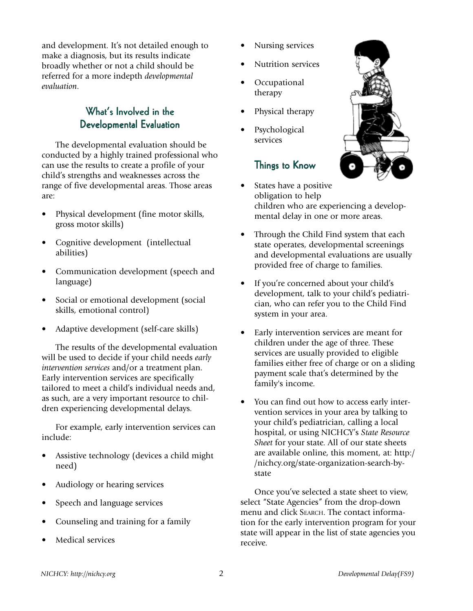and development. It's not detailed enough to make a diagnosis, but its results indicate broadly whether or not a child should be referred for a more indepth *developmental evaluation*.

# What's Involved in the Developmental Evaluation

The developmental evaluation should be conducted by a highly trained professional who can use the results to create a profile of your child's strengths and weaknesses across the range of five developmental areas. Those areas are:

- Physical development (fine motor skills, gross motor skills)
- Cognitive development (intellectual abilities)
- Communication development (speech and language)
- Social or emotional development (social skills, emotional control)
- Adaptive development (self-care skills)

The results of the developmental evaluation will be used to decide if your child needs *early intervention services* and/or a treatment plan. Early intervention services are specifically tailored to meet a child's individual needs and, as such, are a very important resource to children experiencing developmental delays.

For example, early intervention services can include:

- Assistive technology (devices a child might need)
- Audiology or hearing services
- Speech and language services
- Counseling and training for a family
- Medical services
- Nursing services
- Nutrition services
- Occupational therapy
- Physical therapy
- **Psychological** services

## Things to Know



- States have a positive obligation to help children who are experiencing a developmental delay in one or more areas.
- Through the Child Find system that each state operates, developmental screenings and developmental evaluations are usually provided free of charge to families.
- If you're concerned about your child's development, talk to your child's pediatrician, who can refer you to the Child Find system in your area.
- Early intervention services are meant for children under the age of three. These services are usually provided to eligible families either free of charge or on a sliding payment scale that's determined by the family's income.
- You can find out how to access early intervention services in your area by talking to your child's pediatrician, calling a local hospital, or using NICHCY's *State Resource Sheet* for your state. All of our state sheets are available online, this moment, at: http:/ /nichcy.org/state-organization-search-bystate

Once you've selected a state sheet to view, select "State Agencies" from the drop-down menu and click SEARCH. The contact information for the early intervention program for your state will appear in the list of state agencies you receive.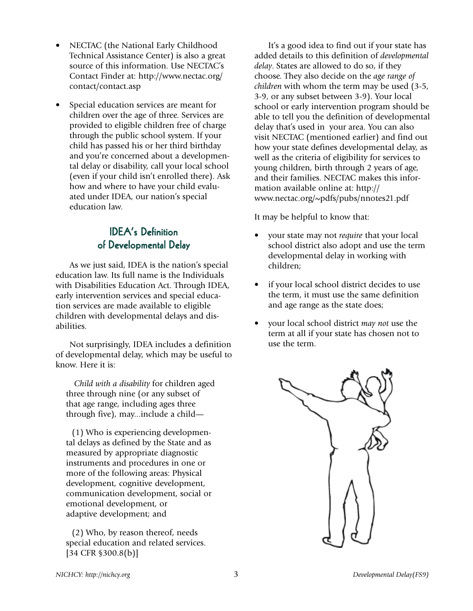- NECTAC (the National Early Childhood Technical Assistance Center) is also a great source of this information. Use NECTAC's Contact Finder at: http://www.nectac.org/ contact/contact.asp
- Special education services are meant for children over the age of three. Services are provided to eligible children free of charge through the public school system. If your child has passed his or her third birthday and you're concerned about a developmental delay or disability, call your local school (even if your child isn't enrolled there). Ask how and where to have your child evaluated under IDEA, our nation's special education law.

# **IDEA's Definition** of Developmental Delay

As we just said, IDEA is the nation's special education law. Its full name is the Individuals with Disabilities Education Act. Through IDEA, early intervention services and special education services are made available to eligible children with developmental delays and disabilities.

Not surprisingly, IDEA includes a definition of developmental delay, which may be useful to know. Here it is:

 *Child with a disability* for children aged three through nine (or any subset of that age range, including ages three through five), may...include a child—

 (1) Who is experiencing developmental delays as defined by the State and as measured by appropriate diagnostic instruments and procedures in one or more of the following areas: Physical development, cognitive development, communication development, social or emotional development, or adaptive development; and

 (2) Who, by reason thereof, needs special education and related services. [34 CFR §300.8(b)]

It's a good idea to find out if your state has added details to this definition of *developmental delay*. States are allowed to do so, if they choose. They also decide on the *age range of children* with whom the term may be used (3-5, 3-9, or any subset between 3-9). Your local school or early intervention program should be able to tell you the definition of developmental delay that's used in your area. You can also visit NECTAC (mentioned earlier) and find out how your state defines developmental delay, as well as the criteria of eligibility for services to young children, birth through 2 years of age, and their families. NECTAC makes this information available online at: http:// www.nectac.org/~pdfs/pubs/nnotes21.pdf

It may be helpful to know that:

- your state may not *require* that your local school district also adopt and use the term developmental delay in working with children;
- if your local school district decides to use the term, it must use the same definition and age range as the state does;
- your local school district *may not* use the term at all if your state has chosen not to use the term.